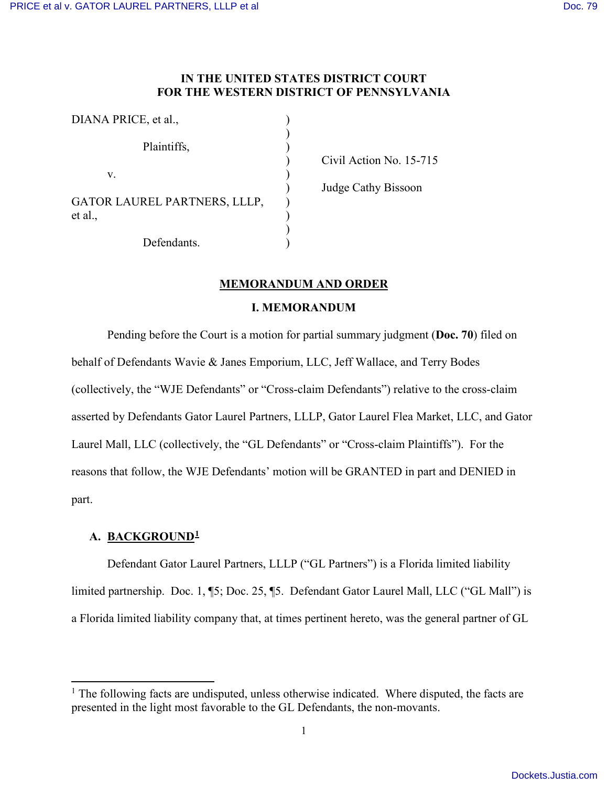### **IN THE UNITED STATES DISTRICT COURT FOR THE WESTERN DISTRICT OF PENNSYLVANIA**

| DIANA PRICE, et al.,                           |  |
|------------------------------------------------|--|
| Plaintiffs,                                    |  |
| V.                                             |  |
| <b>GATOR LAUREL PARTNERS, LLLP,</b><br>et al., |  |
| Defendants.                                    |  |

) Civil Action No. 15-715

) Judge Cathy Bissoon

#### **MEMORANDUM AND ORDER**

### **I. MEMORANDUM**

 Pending before the Court is a motion for partial summary judgment (**Doc. 70**) filed on behalf of Defendants Wavie & Janes Emporium, LLC, Jeff Wallace, and Terry Bodes (collectively, the "WJE Defendants" or "Cross-claim Defendants") relative to the cross-claim asserted by Defendants Gator Laurel Partners, LLLP, Gator Laurel Flea Market, LLC, and Gator Laurel Mall, LLC (collectively, the "GL Defendants" or "Cross-claim Plaintiffs"). For the reasons that follow, the WJE Defendants' motion will be GRANTED in part and DENIED in part.

### **A. BACKGROUND[1](#page-0-0)**

 $\overline{a}$ 

Defendant Gator Laurel Partners, LLLP ("GL Partners") is a Florida limited liability limited partnership. Doc. 1, ¶5; Doc. 25, ¶5. Defendant Gator Laurel Mall, LLC ("GL Mall") is a Florida limited liability company that, at times pertinent hereto, was the general partner of GL

<span id="page-0-0"></span><sup>&</sup>lt;sup>1</sup> The following facts are undisputed, unless otherwise indicated. Where disputed, the facts are presented in the light most favorable to the GL Defendants, the non-movants.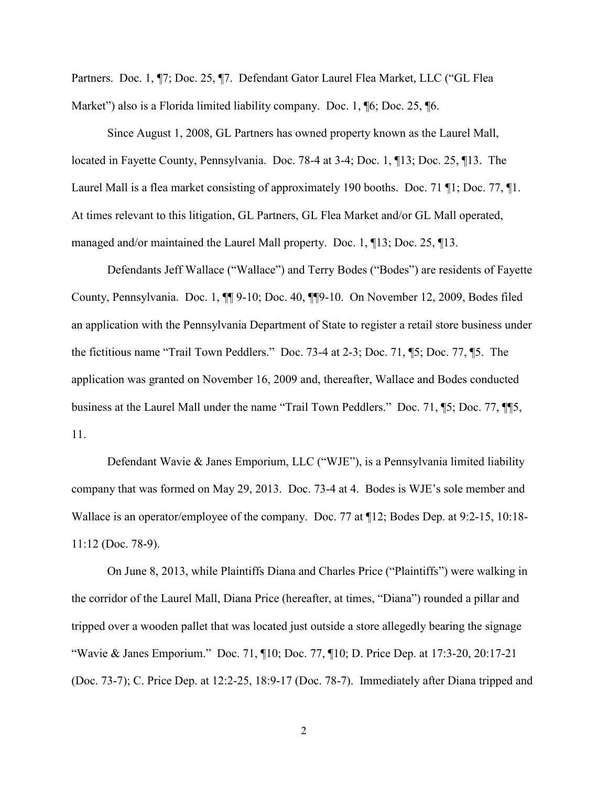Partners. Doc. 1, ¶7; Doc. 25, ¶7. Defendant Gator Laurel Flea Market, LLC ("GL Flea Market") also is a Florida limited liability company. Doc. 1, **16**; Doc. 25, **16.** 

Since August 1, 2008, GL Partners has owned property known as the Laurel Mall, located in Fayette County, Pennsylvania. Doc. 78-4 at 3-4; Doc. 1, ¶13; Doc. 25, ¶13. The Laurel Mall is a flea market consisting of approximately 190 booths. Doc. 71 ¶1; Doc. 77, ¶1. At times relevant to this litigation, GL Partners, GL Flea Market and/or GL Mall operated, managed and/or maintained the Laurel Mall property. Doc. 1, ¶13; Doc. 25, ¶13.

Defendants Jeff Wallace ("Wallace") and Terry Bodes ("Bodes") are residents of Fayette County, Pennsylvania. Doc. 1, ¶¶ 9-10; Doc. 40, ¶¶9-10. On November 12, 2009, Bodes filed an application with the Pennsylvania Department of State to register a retail store business under the fictitious name "Trail Town Peddlers." Doc. 73-4 at 2-3; Doc. 71, ¶5; Doc. 77, ¶5. The application was granted on November 16, 2009 and, thereafter, Wallace and Bodes conducted business at the Laurel Mall under the name "Trail Town Peddlers." Doc. 71, ¶5; Doc. 77, ¶¶5, 11.

Defendant Wavie & Janes Emporium, LLC ("WJE"), is a Pennsylvania limited liability company that was formed on May 29, 2013. Doc. 73-4 at 4. Bodes is WJE's sole member and Wallace is an operator/employee of the company. Doc. 77 at ¶12; Bodes Dep. at 9:2-15, 10:18- 11:12 (Doc. 78-9).

On June 8, 2013, while Plaintiffs Diana and Charles Price ("Plaintiffs") were walking in the corridor of the Laurel Mall, Diana Price (hereafter, at times, "Diana") rounded a pillar and tripped over a wooden pallet that was located just outside a store allegedly bearing the signage "Wavie & Janes Emporium." Doc. 71, ¶10; Doc. 77, ¶10; D. Price Dep. at 17:3-20, 20:17-21 (Doc. 73-7); C. Price Dep. at 12:2-25, 18:9-17 (Doc. 78-7). Immediately after Diana tripped and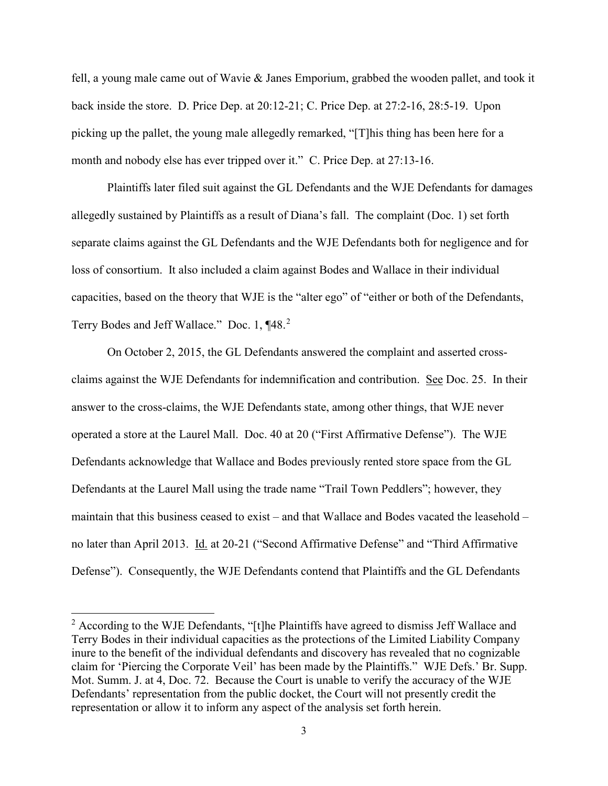fell, a young male came out of Wavie & Janes Emporium, grabbed the wooden pallet, and took it back inside the store. D. Price Dep. at 20:12-21; C. Price Dep. at 27:2-16, 28:5-19. Upon picking up the pallet, the young male allegedly remarked, "[T]his thing has been here for a month and nobody else has ever tripped over it." C. Price Dep. at 27:13-16.

Plaintiffs later filed suit against the GL Defendants and the WJE Defendants for damages allegedly sustained by Plaintiffs as a result of Diana's fall. The complaint (Doc. 1) set forth separate claims against the GL Defendants and the WJE Defendants both for negligence and for loss of consortium. It also included a claim against Bodes and Wallace in their individual capacities, based on the theory that WJE is the "alter ego" of "either or both of the Defendants, Terry Bodes and Jeff Wallace." Doc. 1, ¶48.<sup>[2](#page-2-0)</sup>

On October 2, 2015, the GL Defendants answered the complaint and asserted crossclaims against the WJE Defendants for indemnification and contribution. See Doc. 25. In their answer to the cross-claims, the WJE Defendants state, among other things, that WJE never operated a store at the Laurel Mall. Doc. 40 at 20 ("First Affirmative Defense"). The WJE Defendants acknowledge that Wallace and Bodes previously rented store space from the GL Defendants at the Laurel Mall using the trade name "Trail Town Peddlers"; however, they maintain that this business ceased to exist – and that Wallace and Bodes vacated the leasehold – no later than April 2013. Id. at 20-21 ("Second Affirmative Defense" and "Third Affirmative Defense"). Consequently, the WJE Defendants contend that Plaintiffs and the GL Defendants

 $\overline{a}$ 

<span id="page-2-0"></span><sup>&</sup>lt;sup>2</sup> According to the WJE Defendants, "[t]he Plaintiffs have agreed to dismiss Jeff Wallace and Terry Bodes in their individual capacities as the protections of the Limited Liability Company inure to the benefit of the individual defendants and discovery has revealed that no cognizable claim for 'Piercing the Corporate Veil' has been made by the Plaintiffs." WJE Defs.' Br. Supp. Mot. Summ. J. at 4, Doc. 72. Because the Court is unable to verify the accuracy of the WJE Defendants' representation from the public docket, the Court will not presently credit the representation or allow it to inform any aspect of the analysis set forth herein.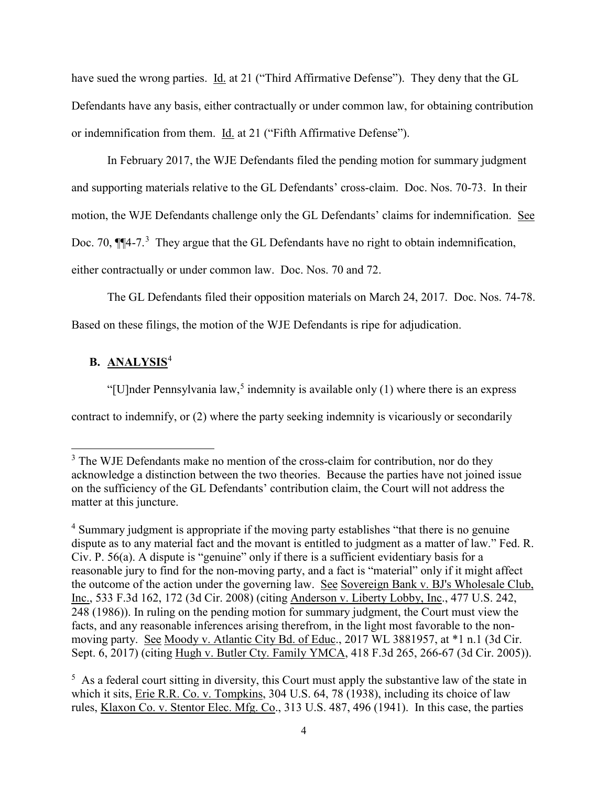have sued the wrong parties. Id. at 21 ("Third Affirmative Defense"). They deny that the GL Defendants have any basis, either contractually or under common law, for obtaining contribution or indemnification from them. Id. at 21 ("Fifth Affirmative Defense").

In February 2017, the WJE Defendants filed the pending motion for summary judgment and supporting materials relative to the GL Defendants' cross-claim. Doc. Nos. 70-73. In their motion, the WJE Defendants challenge only the GL Defendants' claims for indemnification. See Doc. 70,  $\P$  $[$ 4-7.<sup>[3](#page-3-0)</sup> They argue that the GL Defendants have no right to obtain indemnification, either contractually or under common law. Doc. Nos. 70 and 72.

The GL Defendants filed their opposition materials on March 24, 2017. Doc. Nos. 74-78. Based on these filings, the motion of the WJE Defendants is ripe for adjudication.

# **B. ANALYSIS**[4](#page-3-1)

l

"[U]nder Pennsylvania law,<sup>[5](#page-3-2)</sup> indemnity is available only  $(1)$  where there is an express contract to indemnify, or (2) where the party seeking indemnity is vicariously or secondarily

<span id="page-3-0"></span> $3$  The WJE Defendants make no mention of the cross-claim for contribution, nor do they acknowledge a distinction between the two theories. Because the parties have not joined issue on the sufficiency of the GL Defendants' contribution claim, the Court will not address the matter at this juncture.

<span id="page-3-1"></span><sup>4</sup> Summary judgment is appropriate if the moving party establishes "that there is no genuine dispute as to any material fact and the movant is entitled to judgment as a matter of law." Fed. R. Civ. P. 56(a). A dispute is "genuine" only if there is a sufficient evidentiary basis for a reasonable jury to find for the non-moving party, and a fact is "material" only if it might affect the outcome of the action under the governing law. See Sovereign Bank v. BJ's Wholesale Club, Inc., 533 F.3d 162, 172 (3d Cir. 2008) (citing Anderson v. Liberty Lobby, Inc., 477 U.S. 242, 248 (1986)). In ruling on the pending motion for summary judgment, the Court must view the facts, and any reasonable inferences arising therefrom, in the light most favorable to the nonmoving party. See Moody v. Atlantic City Bd. of Educ., 2017 WL 3881957, at \*1 n.1 (3d Cir. Sept. 6, 2017) (citing Hugh v. Butler Cty. Family YMCA, 418 F.3d 265, 266-67 (3d Cir. 2005)).

<span id="page-3-2"></span> $<sup>5</sup>$  As a federal court sitting in diversity, this Court must apply the substantive law of the state in</sup> which it sits, Erie R.R. Co. v. Tompkins, 304 U.S. 64, 78 (1938), including its choice of law rules, Klaxon Co. v. Stentor Elec. Mfg. Co., 313 U.S. 487, 496 (1941). In this case, the parties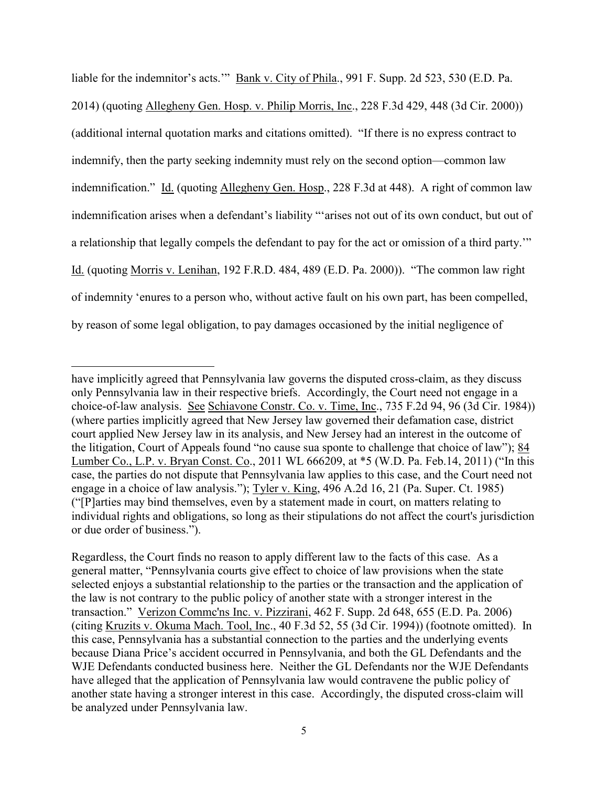liable for the indemnitor's acts.'" Bank v. City of Phila., 991 F. Supp. 2d 523, 530 (E.D. Pa. 2014) (quoting Allegheny Gen. Hosp. v. Philip Morris, Inc., 228 F.3d 429, 448 (3d Cir. 2000)) (additional internal quotation marks and citations omitted). "If there is no express contract to indemnify, then the party seeking indemnity must rely on the second option—common law indemnification." Id. (quoting Allegheny Gen. Hosp., 228 F.3d at 448). A right of common law indemnification arises when a defendant's liability "'arises not out of its own conduct, but out of a relationship that legally compels the defendant to pay for the act or omission of a third party.'" Id. (quoting Morris v. Lenihan, 192 F.R.D. 484, 489 (E.D. Pa. 2000)). "The common law right of indemnity 'enures to a person who, without active fault on his own part, has been compelled, by reason of some legal obligation, to pay damages occasioned by the initial negligence of

l

have implicitly agreed that Pennsylvania law governs the disputed cross-claim, as they discuss only Pennsylvania law in their respective briefs. Accordingly, the Court need not engage in a choice-of-law analysis. See Schiavone Constr. Co. v. Time, Inc., 735 F.2d 94, 96 (3d Cir. 1984)) (where parties implicitly agreed that New Jersey law governed their defamation case, district court applied New Jersey law in its analysis, and New Jersey had an interest in the outcome of the litigation, Court of Appeals found "no cause sua sponte to challenge that choice of law"); 84 Lumber Co., L.P. v. Bryan Const. Co., 2011 WL 666209, at \*5 (W.D. Pa. Feb.14, 2011) ("In this case, the parties do not dispute that Pennsylvania law applies to this case, and the Court need not engage in a choice of law analysis."); Tyler v. King, 496 A.2d 16, 21 (Pa. Super. Ct. 1985) ("[P]arties may bind themselves, even by a statement made in court, on matters relating to individual rights and obligations, so long as their stipulations do not affect the court's jurisdiction or due order of business.").

Regardless, the Court finds no reason to apply different law to the facts of this case. As a general matter, "Pennsylvania courts give effect to choice of law provisions when the state selected enjoys a substantial relationship to the parties or the transaction and the application of the law is not contrary to the public policy of another state with a stronger interest in the transaction." Verizon Commc'ns Inc. v. Pizzirani, 462 F. Supp. 2d 648, 655 (E.D. Pa. 2006) (citing Kruzits v. Okuma Mach. Tool, Inc., 40 F.3d 52, 55 (3d Cir. 1994)) (footnote omitted). In this case, Pennsylvania has a substantial connection to the parties and the underlying events because Diana Price's accident occurred in Pennsylvania, and both the GL Defendants and the WJE Defendants conducted business here. Neither the GL Defendants nor the WJE Defendants have alleged that the application of Pennsylvania law would contravene the public policy of another state having a stronger interest in this case. Accordingly, the disputed cross-claim will be analyzed under Pennsylvania law.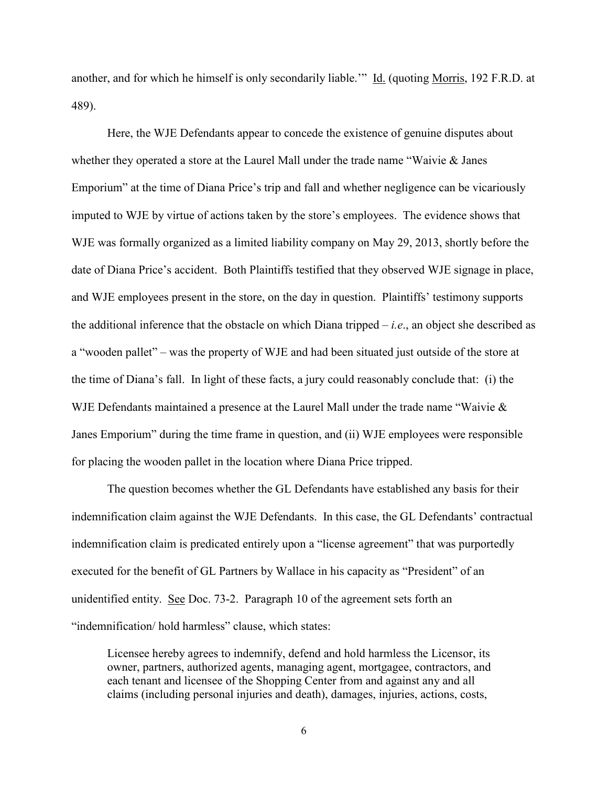another, and for which he himself is only secondarily liable.'" Id. (quoting Morris, 192 F.R.D. at 489).

Here, the WJE Defendants appear to concede the existence of genuine disputes about whether they operated a store at the Laurel Mall under the trade name "Waivie & Janes Emporium" at the time of Diana Price's trip and fall and whether negligence can be vicariously imputed to WJE by virtue of actions taken by the store's employees. The evidence shows that WJE was formally organized as a limited liability company on May 29, 2013, shortly before the date of Diana Price's accident. Both Plaintiffs testified that they observed WJE signage in place, and WJE employees present in the store, on the day in question. Plaintiffs' testimony supports the additional inference that the obstacle on which Diana tripped – *i.e*., an object she described as a "wooden pallet" – was the property of WJE and had been situated just outside of the store at the time of Diana's fall. In light of these facts, a jury could reasonably conclude that: (i) the WJE Defendants maintained a presence at the Laurel Mall under the trade name "Waivie & Janes Emporium" during the time frame in question, and (ii) WJE employees were responsible for placing the wooden pallet in the location where Diana Price tripped.

The question becomes whether the GL Defendants have established any basis for their indemnification claim against the WJE Defendants. In this case, the GL Defendants' contractual indemnification claim is predicated entirely upon a "license agreement" that was purportedly executed for the benefit of GL Partners by Wallace in his capacity as "President" of an unidentified entity. See Doc. 73-2. Paragraph 10 of the agreement sets forth an "indemnification/ hold harmless" clause, which states:

Licensee hereby agrees to indemnify, defend and hold harmless the Licensor, its owner, partners, authorized agents, managing agent, mortgagee, contractors, and each tenant and licensee of the Shopping Center from and against any and all claims (including personal injuries and death), damages, injuries, actions, costs,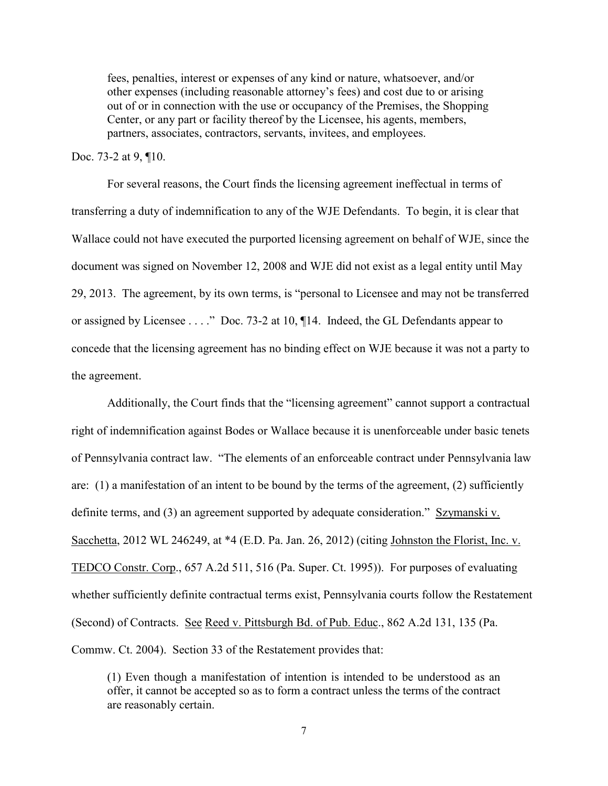fees, penalties, interest or expenses of any kind or nature, whatsoever, and/or other expenses (including reasonable attorney's fees) and cost due to or arising out of or in connection with the use or occupancy of the Premises, the Shopping Center, or any part or facility thereof by the Licensee, his agents, members, partners, associates, contractors, servants, invitees, and employees.

### Doc. 73-2 at 9, ¶10.

For several reasons, the Court finds the licensing agreement ineffectual in terms of transferring a duty of indemnification to any of the WJE Defendants. To begin, it is clear that Wallace could not have executed the purported licensing agreement on behalf of WJE, since the document was signed on November 12, 2008 and WJE did not exist as a legal entity until May 29, 2013. The agreement, by its own terms, is "personal to Licensee and may not be transferred or assigned by Licensee . . . ." Doc. 73-2 at 10, ¶14. Indeed, the GL Defendants appear to concede that the licensing agreement has no binding effect on WJE because it was not a party to the agreement.

Additionally, the Court finds that the "licensing agreement" cannot support a contractual right of indemnification against Bodes or Wallace because it is unenforceable under basic tenets of Pennsylvania contract law. "The elements of an enforceable contract under Pennsylvania law are: (1) a manifestation of an intent to be bound by the terms of the agreement, (2) sufficiently definite terms, and (3) an agreement supported by adequate consideration." Szymanski v. Sacchetta, 2012 WL 246249, at \*4 (E.D. Pa. Jan. 26, 2012) (citing Johnston the Florist, Inc. v. TEDCO Constr. Corp., 657 A.2d 511, 516 (Pa. Super. Ct. 1995)). For purposes of evaluating whether sufficiently definite contractual terms exist, Pennsylvania courts follow the Restatement (Second) of Contracts. See Reed v. Pittsburgh Bd. of Pub. Educ., 862 A.2d 131, 135 (Pa. Commw. Ct. 2004). Section 33 of the Restatement provides that:

(1) Even though a manifestation of intention is intended to be understood as an offer, it cannot be accepted so as to form a contract unless the terms of the contract are reasonably certain.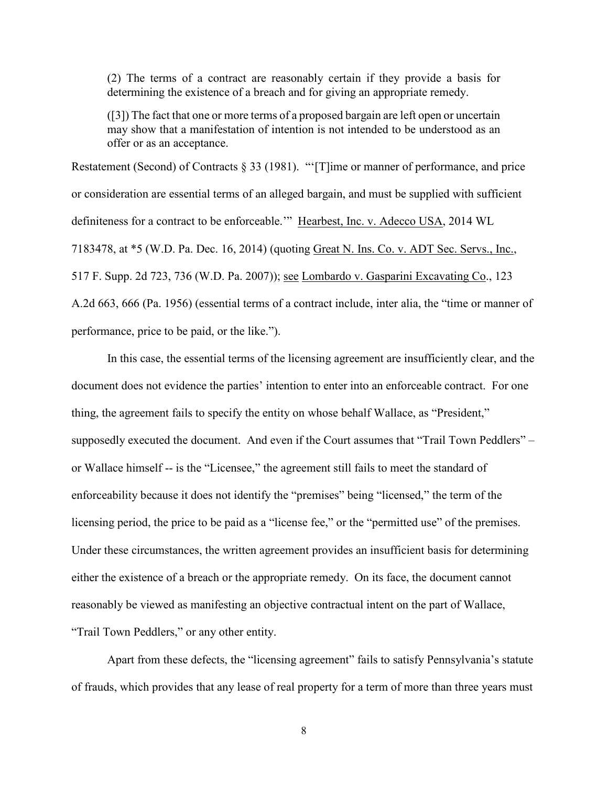(2) The terms of a contract are reasonably certain if they provide a basis for determining the existence of a breach and for giving an appropriate remedy.

([3]) The fact that one or more terms of a proposed bargain are left open or uncertain may show that a manifestation of intention is not intended to be understood as an offer or as an acceptance.

Restatement (Second) of Contracts § 33 (1981). "'[T]ime or manner of performance, and price or consideration are essential terms of an alleged bargain, and must be supplied with sufficient definiteness for a contract to be enforceable.'" Hearbest, Inc. v. Adecco USA, 2014 WL 7183478, at \*5 (W.D. Pa. Dec. 16, 2014) (quoting Great N. Ins. Co. v. ADT Sec. Servs., Inc., 517 F. Supp. 2d 723, 736 (W.D. Pa. 2007)); see Lombardo v. Gasparini Excavating Co., 123 A.2d 663, 666 (Pa. 1956) (essential terms of a contract include, inter alia, the "time or manner of performance, price to be paid, or the like.").

In this case, the essential terms of the licensing agreement are insufficiently clear, and the document does not evidence the parties' intention to enter into an enforceable contract. For one thing, the agreement fails to specify the entity on whose behalf Wallace, as "President," supposedly executed the document. And even if the Court assumes that "Trail Town Peddlers" – or Wallace himself -- is the "Licensee," the agreement still fails to meet the standard of enforceability because it does not identify the "premises" being "licensed," the term of the licensing period, the price to be paid as a "license fee," or the "permitted use" of the premises. Under these circumstances, the written agreement provides an insufficient basis for determining either the existence of a breach or the appropriate remedy. On its face, the document cannot reasonably be viewed as manifesting an objective contractual intent on the part of Wallace, "Trail Town Peddlers," or any other entity.

Apart from these defects, the "licensing agreement" fails to satisfy Pennsylvania's statute of frauds, which provides that any lease of real property for a term of more than three years must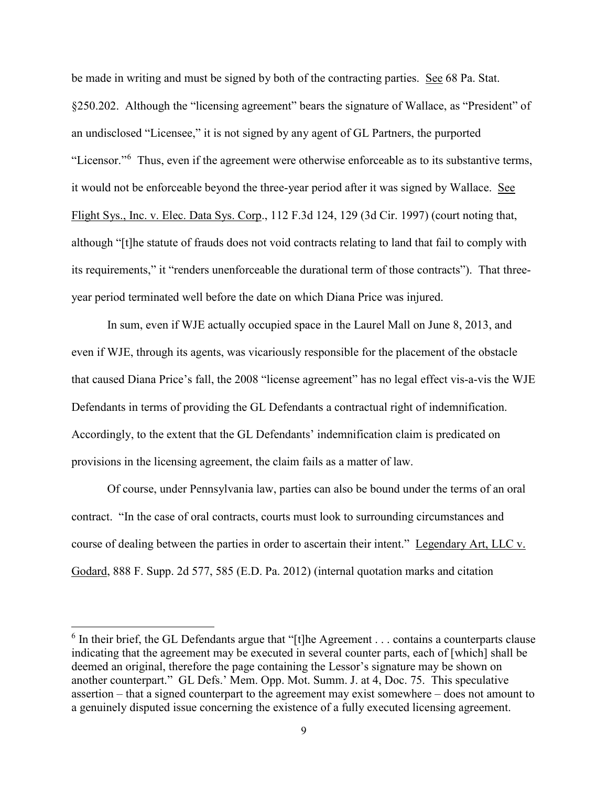be made in writing and must be signed by both of the contracting parties. See 68 Pa. Stat. §250.202. Although the "licensing agreement" bears the signature of Wallace, as "President" of an undisclosed "Licensee," it is not signed by any agent of GL Partners, the purported "Licensor."<sup>[6](#page-8-0)</sup> Thus, even if the agreement were otherwise enforceable as to its substantive terms, it would not be enforceable beyond the three-year period after it was signed by Wallace. See Flight Sys., Inc. v. Elec. Data Sys. Corp., 112 F.3d 124, 129 (3d Cir. 1997) (court noting that, although "[t]he statute of frauds does not void contracts relating to land that fail to comply with its requirements," it "renders unenforceable the durational term of those contracts"). That threeyear period terminated well before the date on which Diana Price was injured.

In sum, even if WJE actually occupied space in the Laurel Mall on June 8, 2013, and even if WJE, through its agents, was vicariously responsible for the placement of the obstacle that caused Diana Price's fall, the 2008 "license agreement" has no legal effect vis-a-vis the WJE Defendants in terms of providing the GL Defendants a contractual right of indemnification. Accordingly, to the extent that the GL Defendants' indemnification claim is predicated on provisions in the licensing agreement, the claim fails as a matter of law.

 Of course, under Pennsylvania law, parties can also be bound under the terms of an oral contract. "In the case of oral contracts, courts must look to surrounding circumstances and course of dealing between the parties in order to ascertain their intent." Legendary Art, LLC v. Godard, 888 F. Supp. 2d 577, 585 (E.D. Pa. 2012) (internal quotation marks and citation

l

<span id="page-8-0"></span> $6$  In their brief, the GL Defendants argue that "[t]he Agreement . . . contains a counterparts clause indicating that the agreement may be executed in several counter parts, each of [which] shall be deemed an original, therefore the page containing the Lessor's signature may be shown on another counterpart." GL Defs.' Mem. Opp. Mot. Summ. J. at 4, Doc. 75. This speculative assertion – that a signed counterpart to the agreement may exist somewhere – does not amount to a genuinely disputed issue concerning the existence of a fully executed licensing agreement.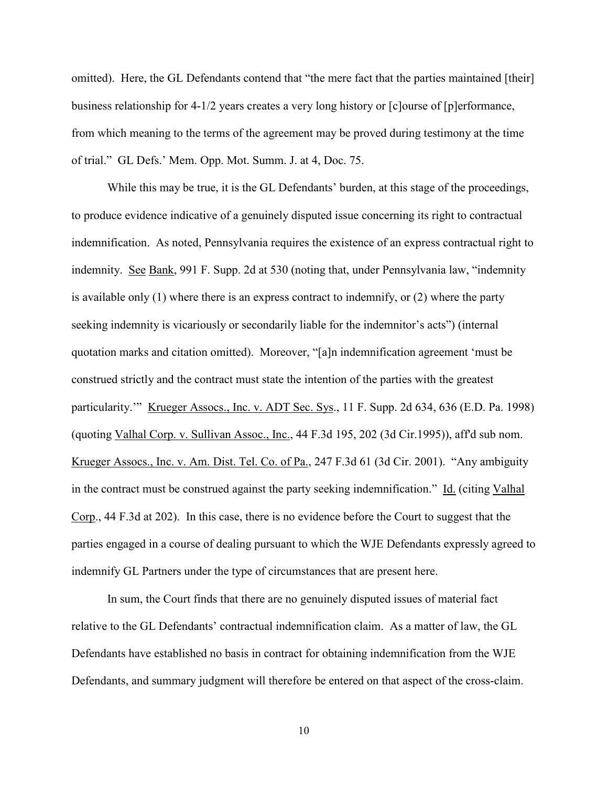omitted). Here, the GL Defendants contend that "the mere fact that the parties maintained [their] business relationship for 4-1/2 years creates a very long history or [c]ourse of [p]erformance, from which meaning to the terms of the agreement may be proved during testimony at the time of trial." GL Defs.' Mem. Opp. Mot. Summ. J. at 4, Doc. 75.

While this may be true, it is the GL Defendants' burden, at this stage of the proceedings, to produce evidence indicative of a genuinely disputed issue concerning its right to contractual indemnification. As noted, Pennsylvania requires the existence of an express contractual right to indemnity. See Bank, 991 F. Supp. 2d at 530 (noting that, under Pennsylvania law, "indemnity is available only (1) where there is an express contract to indemnify, or (2) where the party seeking indemnity is vicariously or secondarily liable for the indemnitor's acts") (internal quotation marks and citation omitted). Moreover, "[a]n indemnification agreement 'must be construed strictly and the contract must state the intention of the parties with the greatest particularity." Krueger Assocs., Inc. v. ADT Sec. Sys., 11 F. Supp. 2d 634, 636 (E.D. Pa. 1998) (quoting Valhal Corp. v. Sullivan Assoc., Inc., 44 F.3d 195, 202 (3d Cir.1995)), aff'd sub nom. Krueger Assocs., Inc. v. Am. Dist. Tel. Co. of Pa., 247 F.3d 61 (3d Cir. 2001). "Any ambiguity in the contract must be construed against the party seeking indemnification." Id. (citing Valhal Corp., 44 F.3d at 202). In this case, there is no evidence before the Court to suggest that the parties engaged in a course of dealing pursuant to which the WJE Defendants expressly agreed to indemnify GL Partners under the type of circumstances that are present here.

In sum, the Court finds that there are no genuinely disputed issues of material fact relative to the GL Defendants' contractual indemnification claim. As a matter of law, the GL Defendants have established no basis in contract for obtaining indemnification from the WJE Defendants, and summary judgment will therefore be entered on that aspect of the cross-claim.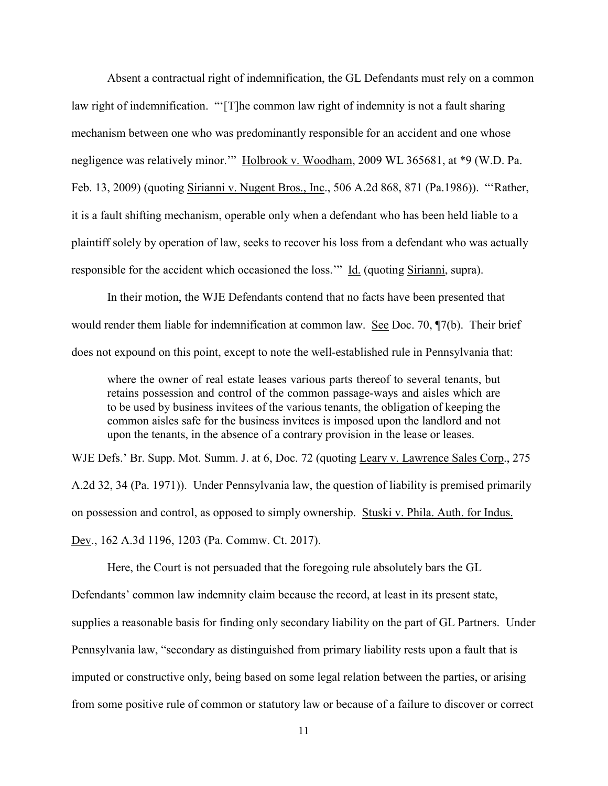Absent a contractual right of indemnification, the GL Defendants must rely on a common law right of indemnification. "'[T]he common law right of indemnity is not a fault sharing mechanism between one who was predominantly responsible for an accident and one whose negligence was relatively minor."" Holbrook v. Woodham, 2009 WL 365681, at \*9 (W.D. Pa. Feb. 13, 2009) (quoting Sirianni v. Nugent Bros., Inc., 506 A.2d 868, 871 (Pa.1986)). "'Rather, it is a fault shifting mechanism, operable only when a defendant who has been held liable to a plaintiff solely by operation of law, seeks to recover his loss from a defendant who was actually responsible for the accident which occasioned the loss." Id. (quoting Sirianni, supra).

 In their motion, the WJE Defendants contend that no facts have been presented that would render them liable for indemnification at common law. See Doc. 70,  $\P$ 7(b). Their brief does not expound on this point, except to note the well-established rule in Pennsylvania that:

where the owner of real estate leases various parts thereof to several tenants, but retains possession and control of the common passage-ways and aisles which are to be used by business invitees of the various tenants, the obligation of keeping the common aisles safe for the business invitees is imposed upon the landlord and not upon the tenants, in the absence of a contrary provision in the lease or leases.

WJE Defs.' Br. Supp. Mot. Summ. J. at 6, Doc. 72 (quoting Leary v. Lawrence Sales Corp., 275 A.2d 32, 34 (Pa. 1971)). Under Pennsylvania law, the question of liability is premised primarily on possession and control, as opposed to simply ownership. Stuski v. Phila. Auth. for Indus. Dev., 162 A.3d 1196, 1203 (Pa. Commw. Ct. 2017).

 Here, the Court is not persuaded that the foregoing rule absolutely bars the GL Defendants' common law indemnity claim because the record, at least in its present state, supplies a reasonable basis for finding only secondary liability on the part of GL Partners. Under Pennsylvania law, "secondary as distinguished from primary liability rests upon a fault that is imputed or constructive only, being based on some legal relation between the parties, or arising from some positive rule of common or statutory law or because of a failure to discover or correct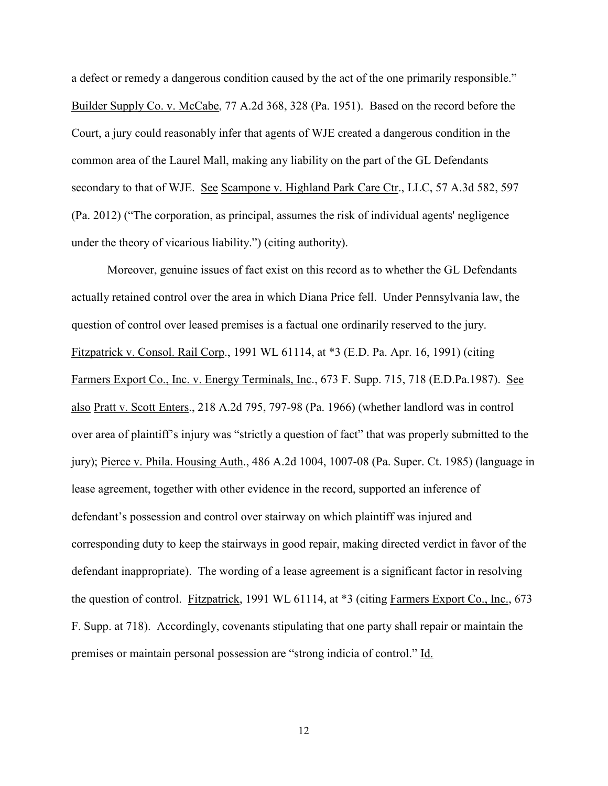a defect or remedy a dangerous condition caused by the act of the one primarily responsible." Builder Supply Co. v. McCabe, 77 A.2d 368, 328 (Pa. 1951). Based on the record before the Court, a jury could reasonably infer that agents of WJE created a dangerous condition in the common area of the Laurel Mall, making any liability on the part of the GL Defendants secondary to that of WJE. See Scampone v. Highland Park Care Ctr., LLC, 57 A.3d 582, 597 (Pa. 2012) ("The corporation, as principal, assumes the risk of individual agents' negligence under the theory of vicarious liability.") (citing authority).

Moreover, genuine issues of fact exist on this record as to whether the GL Defendants actually retained control over the area in which Diana Price fell. Under Pennsylvania law, the question of control over leased premises is a factual one ordinarily reserved to the jury. Fitzpatrick v. Consol. Rail Corp., 1991 WL 61114, at \*3 (E.D. Pa. Apr. 16, 1991) (citing Farmers Export Co., Inc. v. Energy Terminals, Inc., 673 F. Supp. 715, 718 (E.D.Pa.1987). See also Pratt v. Scott Enters., 218 A.2d 795, 797-98 (Pa. 1966) (whether landlord was in control over area of plaintiff's injury was "strictly a question of fact" that was properly submitted to the jury); Pierce v. Phila. Housing Auth., 486 A.2d 1004, 1007-08 (Pa. Super. Ct. 1985) (language in lease agreement, together with other evidence in the record, supported an inference of defendant's possession and control over stairway on which plaintiff was injured and corresponding duty to keep the stairways in good repair, making directed verdict in favor of the defendant inappropriate). The wording of a lease agreement is a significant factor in resolving the question of control. Fitzpatrick, 1991 WL 61114, at \*3 (citing Farmers Export Co., Inc., 673 F. Supp. at 718). Accordingly, covenants stipulating that one party shall repair or maintain the premises or maintain personal possession are "strong indicia of control." Id.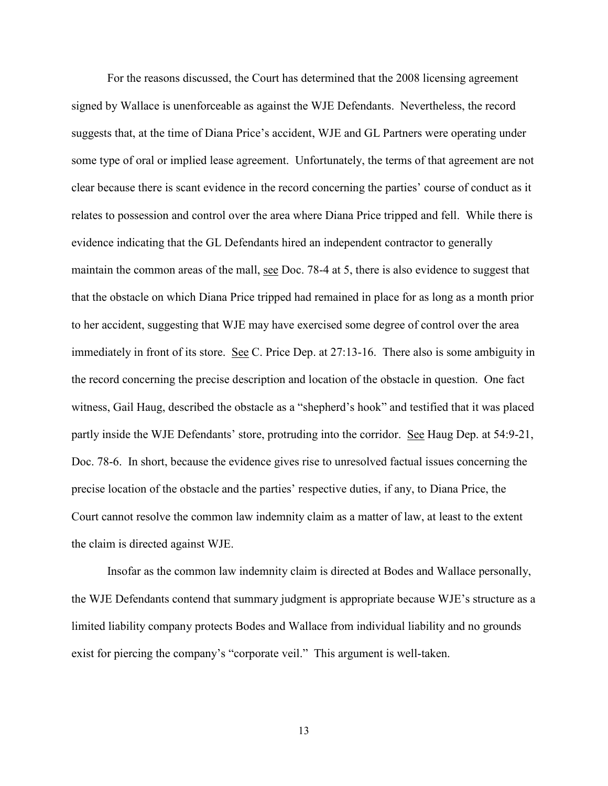For the reasons discussed, the Court has determined that the 2008 licensing agreement signed by Wallace is unenforceable as against the WJE Defendants. Nevertheless, the record suggests that, at the time of Diana Price's accident, WJE and GL Partners were operating under some type of oral or implied lease agreement. Unfortunately, the terms of that agreement are not clear because there is scant evidence in the record concerning the parties' course of conduct as it relates to possession and control over the area where Diana Price tripped and fell. While there is evidence indicating that the GL Defendants hired an independent contractor to generally maintain the common areas of the mall, see Doc. 78-4 at 5, there is also evidence to suggest that that the obstacle on which Diana Price tripped had remained in place for as long as a month prior to her accident, suggesting that WJE may have exercised some degree of control over the area immediately in front of its store. See C. Price Dep. at 27:13-16. There also is some ambiguity in the record concerning the precise description and location of the obstacle in question. One fact witness, Gail Haug, described the obstacle as a "shepherd's hook" and testified that it was placed partly inside the WJE Defendants' store, protruding into the corridor. See Haug Dep. at 54:9-21, Doc. 78-6. In short, because the evidence gives rise to unresolved factual issues concerning the precise location of the obstacle and the parties' respective duties, if any, to Diana Price, the Court cannot resolve the common law indemnity claim as a matter of law, at least to the extent the claim is directed against WJE.

Insofar as the common law indemnity claim is directed at Bodes and Wallace personally, the WJE Defendants contend that summary judgment is appropriate because WJE's structure as a limited liability company protects Bodes and Wallace from individual liability and no grounds exist for piercing the company's "corporate veil." This argument is well-taken.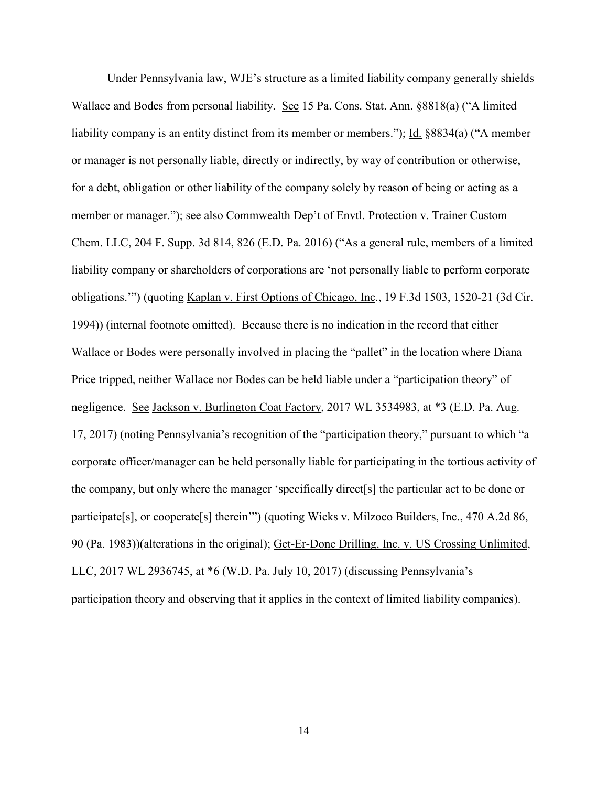Under Pennsylvania law, WJE's structure as a limited liability company generally shields Wallace and Bodes from personal liability. See 15 Pa. Cons. Stat. Ann. §8818(a) ("A limited liability company is an entity distinct from its member or members."); Id. §8834(a) ("A member or manager is not personally liable, directly or indirectly, by way of contribution or otherwise, for a debt, obligation or other liability of the company solely by reason of being or acting as a member or manager."); see also Commwealth Dep't of Envtl. Protection v. Trainer Custom Chem. LLC, 204 F. Supp. 3d 814, 826 (E.D. Pa. 2016) ("As a general rule, members of a limited liability company or shareholders of corporations are 'not personally liable to perform corporate obligations.'") (quoting Kaplan v. First Options of Chicago, Inc., 19 F.3d 1503, 1520-21 (3d Cir. 1994)) (internal footnote omitted). Because there is no indication in the record that either Wallace or Bodes were personally involved in placing the "pallet" in the location where Diana Price tripped, neither Wallace nor Bodes can be held liable under a "participation theory" of negligence. See Jackson v. Burlington Coat Factory, 2017 WL 3534983, at \*3 (E.D. Pa. Aug. 17, 2017) (noting Pennsylvania's recognition of the "participation theory," pursuant to which "a corporate officer/manager can be held personally liable for participating in the tortious activity of the company, but only where the manager 'specifically direct[s] the particular act to be done or participate[s], or cooperate[s] therein'") (quoting Wicks v. Milzoco Builders, Inc., 470 A.2d 86, 90 (Pa. 1983))(alterations in the original); Get-Er-Done Drilling, Inc. v. US Crossing Unlimited, LLC, 2017 WL 2936745, at \*6 (W.D. Pa. July 10, 2017) (discussing Pennsylvania's participation theory and observing that it applies in the context of limited liability companies).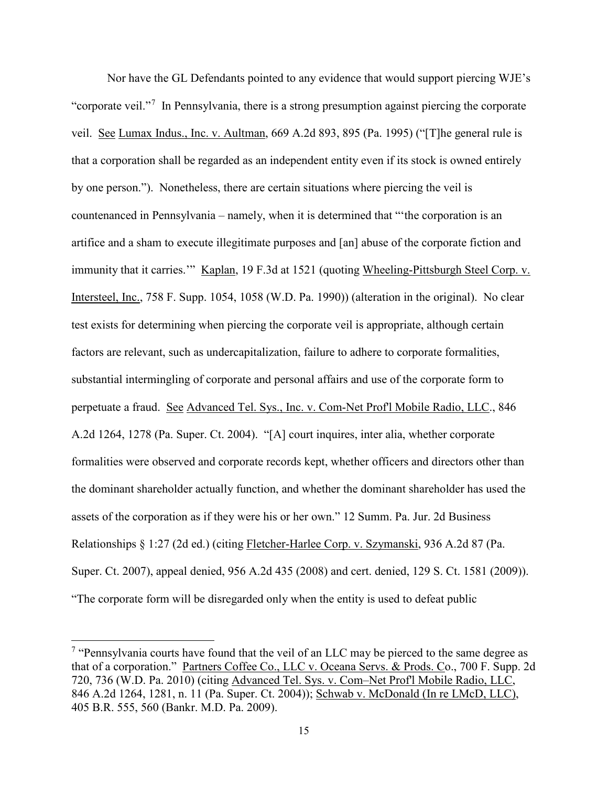Nor have the GL Defendants pointed to any evidence that would support piercing WJE's "corporate veil."<sup>[7](#page-14-0)</sup> In Pennsylvania, there is a strong presumption against piercing the corporate veil. See Lumax Indus., Inc. v. Aultman, 669 A.2d 893, 895 (Pa. 1995) ("[T]he general rule is that a corporation shall be regarded as an independent entity even if its stock is owned entirely by one person."). Nonetheless, there are certain situations where piercing the veil is countenanced in Pennsylvania – namely, when it is determined that "'the corporation is an artifice and a sham to execute illegitimate purposes and [an] abuse of the corporate fiction and immunity that it carries.'" Kaplan, 19 F.3d at 1521 (quoting Wheeling-Pittsburgh Steel Corp. v. Intersteel, Inc., 758 F. Supp. 1054, 1058 (W.D. Pa. 1990)) (alteration in the original). No clear test exists for determining when piercing the corporate veil is appropriate, although certain factors are relevant, such as undercapitalization, failure to adhere to corporate formalities, substantial intermingling of corporate and personal affairs and use of the corporate form to perpetuate a fraud. See Advanced Tel. Sys., Inc. v. Com-Net Prof'l Mobile Radio, LLC., 846 A.2d 1264, 1278 (Pa. Super. Ct. 2004). "[A] court inquires, inter alia, whether corporate formalities were observed and corporate records kept, whether officers and directors other than the dominant shareholder actually function, and whether the dominant shareholder has used the assets of the corporation as if they were his or her own." 12 Summ. Pa. Jur. 2d Business Relationships § 1:27 (2d ed.) (citing Fletcher-Harlee Corp. v. Szymanski, 936 A.2d 87 (Pa. Super. Ct. 2007), appeal denied, 956 A.2d 435 (2008) and cert. denied, 129 S. Ct. 1581 (2009)). "The corporate form will be disregarded only when the entity is used to defeat public

l

<span id="page-14-0"></span><sup>&</sup>lt;sup>7</sup> "Pennsylvania courts have found that the veil of an LLC may be pierced to the same degree as that of a corporation." Partners Coffee Co., LLC v. Oceana Servs. & Prods. Co., 700 F. Supp. 2d 720, 736 (W.D. Pa. 2010) (citing Advanced Tel. Sys. v. Com–Net Prof'l Mobile Radio, LLC, 846 A.2d 1264, 1281, n. 11 (Pa. Super. Ct. 2004)); Schwab v. McDonald (In re LMcD, LLC), 405 B.R. 555, 560 (Bankr. M.D. Pa. 2009).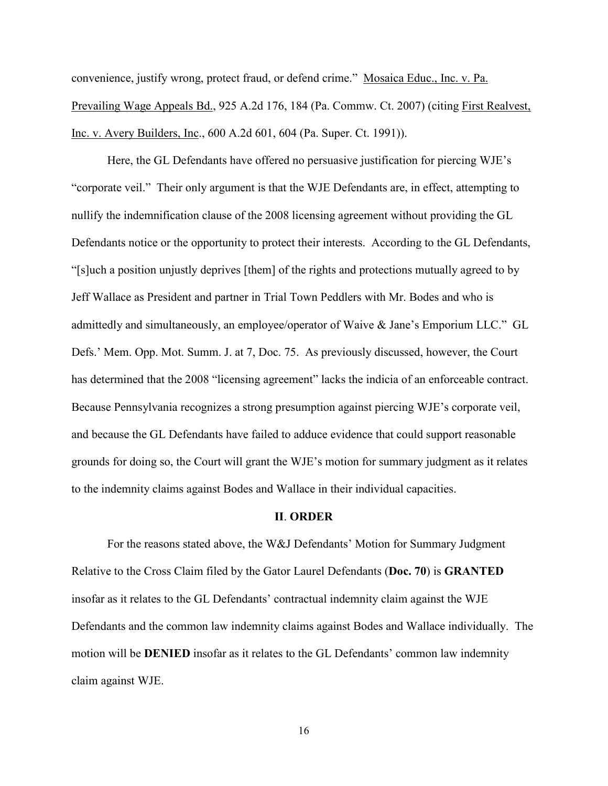convenience, justify wrong, protect fraud, or defend crime." Mosaica Educ., Inc. v. Pa. Prevailing Wage Appeals Bd., 925 A.2d 176, 184 (Pa. Commw. Ct. 2007) (citing First Realvest, Inc. v. Avery Builders, Inc., 600 A.2d 601, 604 (Pa. Super. Ct. 1991)).

Here, the GL Defendants have offered no persuasive justification for piercing WJE's "corporate veil." Their only argument is that the WJE Defendants are, in effect, attempting to nullify the indemnification clause of the 2008 licensing agreement without providing the GL Defendants notice or the opportunity to protect their interests. According to the GL Defendants, "[s]uch a position unjustly deprives [them] of the rights and protections mutually agreed to by Jeff Wallace as President and partner in Trial Town Peddlers with Mr. Bodes and who is admittedly and simultaneously, an employee/operator of Waive & Jane's Emporium LLC." GL Defs.' Mem. Opp. Mot. Summ. J. at 7, Doc. 75. As previously discussed, however, the Court has determined that the 2008 "licensing agreement" lacks the indicia of an enforceable contract. Because Pennsylvania recognizes a strong presumption against piercing WJE's corporate veil, and because the GL Defendants have failed to adduce evidence that could support reasonable grounds for doing so, the Court will grant the WJE's motion for summary judgment as it relates to the indemnity claims against Bodes and Wallace in their individual capacities.

#### **II**. **ORDER**

 For the reasons stated above, the W&J Defendants' Motion for Summary Judgment Relative to the Cross Claim filed by the Gator Laurel Defendants (**Doc. 70**) is **GRANTED** insofar as it relates to the GL Defendants' contractual indemnity claim against the WJE Defendants and the common law indemnity claims against Bodes and Wallace individually. The motion will be **DENIED** insofar as it relates to the GL Defendants' common law indemnity claim against WJE.